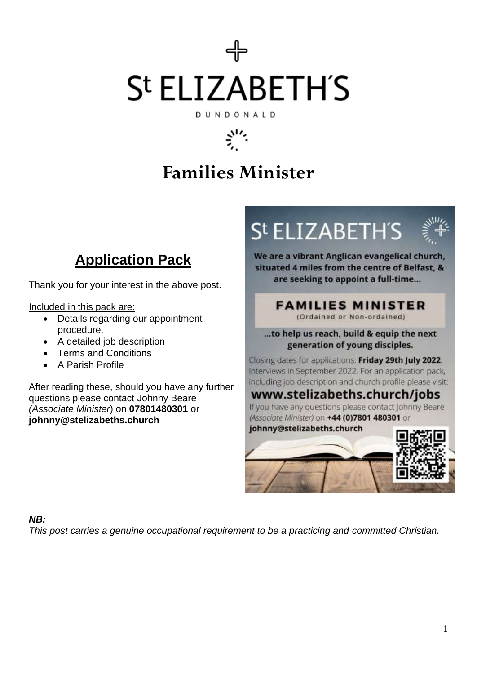# St ELIZABETH'S DUNDONALD

# بهبيج

### **Families Minister**

### **Application Pack**

Thank you for your interest in the above post.

Included in this pack are:

- Details regarding our appointment procedure.
- A detailed job description
- Terms and Conditions
- A Parish Profile

After reading these, should you have any further questions please contact Johnny Beare *(Associate Minister*) on **07801480301** or **johnny@stelizabeths.church**

St ELIZABETH'S



We are a vibrant Anglican evangelical church, situated 4 miles from the centre of Belfast, & are seeking to appoint a full-time...

### **FAMILIES MINISTER**

(Ordained or Non-ordained)

...to help us reach, build & equip the next generation of young disciples.

Closing dates for applications: Friday 29th July 2022. Interviews in September 2022. For an application pack, including job description and church profile please visit:

### www.stelizabeths.church/jobs

If you have any questions please contact Johnny Beare (Associate Minister) on +44 (0)7801 480301 or



#### *NB:*

*This post carries a genuine occupational requirement to be a practicing and committed Christian.*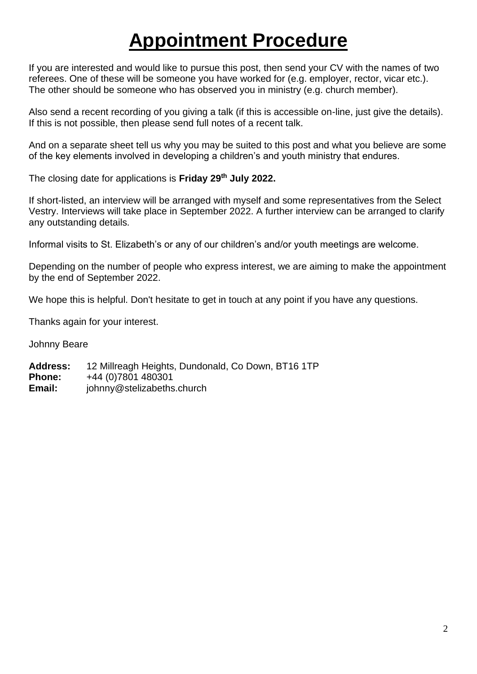### **Appointment Procedure**

If you are interested and would like to pursue this post, then send your CV with the names of two referees. One of these will be someone you have worked for (e.g. employer, rector, vicar etc.). The other should be someone who has observed you in ministry (e.g. church member).

Also send a recent recording of you giving a talk (if this is accessible on-line, just give the details). If this is not possible, then please send full notes of a recent talk.

And on a separate sheet tell us why you may be suited to this post and what you believe are some of the key elements involved in developing a children's and youth ministry that endures.

The closing date for applications is **Friday 29th July 2022.**

If short-listed, an interview will be arranged with myself and some representatives from the Select Vestry. Interviews will take place in September 2022. A further interview can be arranged to clarify any outstanding details.

Informal visits to St. Elizabeth's or any of our children's and/or youth meetings are welcome.

Depending on the number of people who express interest, we are aiming to make the appointment by the end of September 2022.

We hope this is helpful. Don't hesitate to get in touch at any point if you have any questions.

Thanks again for your interest.

Johnny Beare

**Address:** 12 Millreagh Heights, Dundonald, Co Down, BT16 1TP **Phone:** +44 (0)7801 480301 **Email:** johnny@stelizabeths.church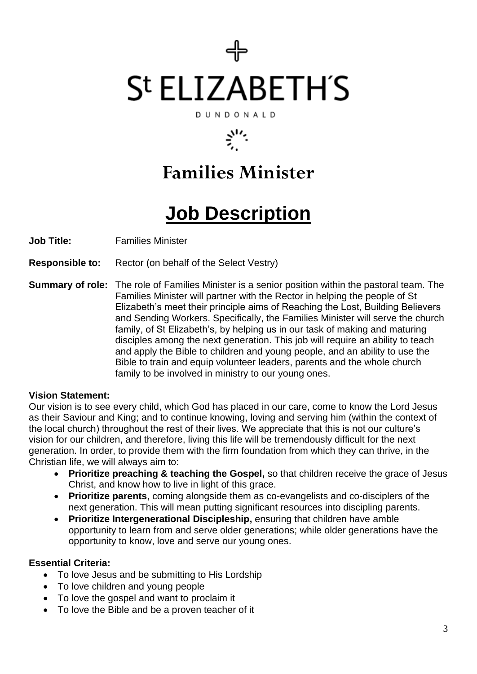# St ELIZABETH'S DUNDONALD

# بهبلج

### **Families Minister**

## **Job Description**

**Job Title:** Families Minister

**Responsible to:** Rector (on behalf of the Select Vestry)

**Summary of role:** The role of Families Minister is a senior position within the pastoral team. The Families Minister will partner with the Rector in helping the people of St Elizabeth's meet their principle aims of Reaching the Lost, Building Believers and Sending Workers. Specifically, the Families Minister will serve the church family, of St Elizabeth's, by helping us in our task of making and maturing disciples among the next generation. This job will require an ability to teach and apply the Bible to children and young people, and an ability to use the Bible to train and equip volunteer leaders, parents and the whole church family to be involved in ministry to our young ones.

#### **Vision Statement:**

Our vision is to see every child, which God has placed in our care, come to know the Lord Jesus as their Saviour and King; and to continue knowing, loving and serving him (within the context of the local church) throughout the rest of their lives. We appreciate that this is not our culture's vision for our children, and therefore, living this life will be tremendously difficult for the next generation. In order, to provide them with the firm foundation from which they can thrive, in the Christian life, we will always aim to:

- **Prioritize preaching & teaching the Gospel,** so that children receive the grace of Jesus Christ, and know how to live in light of this grace.
- **Prioritize parents**, coming alongside them as co-evangelists and co-disciplers of the next generation. This will mean putting significant resources into discipling parents.
- **Prioritize Intergenerational Discipleship,** ensuring that children have amble opportunity to learn from and serve older generations; while older generations have the opportunity to know, love and serve our young ones.

#### **Essential Criteria:**

- To love Jesus and be submitting to His Lordship
- To love children and young people
- To love the gospel and want to proclaim it
- To love the Bible and be a proven teacher of it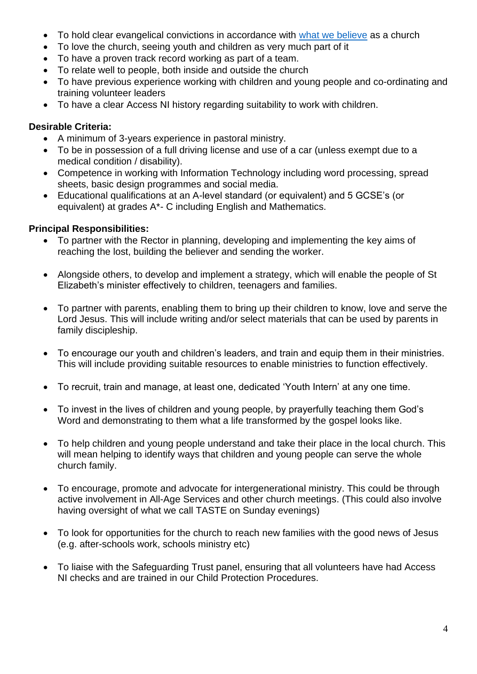- To hold clear evangelical convictions in accordance with [what we believe](https://www.stelizabeths.church/whatwebelieve) as a church
- To love the church, seeing youth and children as very much part of it
- To have a proven track record working as part of a team.
- To relate well to people, both inside and outside the church
- To have previous experience working with children and young people and co-ordinating and training volunteer leaders
- To have a clear Access NI history regarding suitability to work with children.

#### **Desirable Criteria:**

- A minimum of 3-years experience in pastoral ministry.
- To be in possession of a full driving license and use of a car (unless exempt due to a medical condition / disability).
- Competence in working with Information Technology including word processing, spread sheets, basic design programmes and social media.
- Educational qualifications at an A-level standard (or equivalent) and 5 GCSE's (or equivalent) at grades A\*- C including English and Mathematics.

#### **Principal Responsibilities:**

- To partner with the Rector in planning, developing and implementing the key aims of reaching the lost, building the believer and sending the worker.
- Alongside others, to develop and implement a strategy, which will enable the people of St Elizabeth's minister effectively to children, teenagers and families.
- To partner with parents, enabling them to bring up their children to know, love and serve the Lord Jesus. This will include writing and/or select materials that can be used by parents in family discipleship.
- To encourage our youth and children's leaders, and train and equip them in their ministries. This will include providing suitable resources to enable ministries to function effectively.
- To recruit, train and manage, at least one, dedicated 'Youth Intern' at any one time.
- To invest in the lives of children and young people, by prayerfully teaching them God's Word and demonstrating to them what a life transformed by the gospel looks like.
- To help children and young people understand and take their place in the local church. This will mean helping to identify ways that children and young people can serve the whole church family.
- To encourage, promote and advocate for intergenerational ministry. This could be through active involvement in All-Age Services and other church meetings. (This could also involve having oversight of what we call TASTE on Sunday evenings)
- To look for opportunities for the church to reach new families with the good news of Jesus (e.g. after-schools work, schools ministry etc)
- To liaise with the Safeguarding Trust panel, ensuring that all volunteers have had Access NI checks and are trained in our Child Protection Procedures.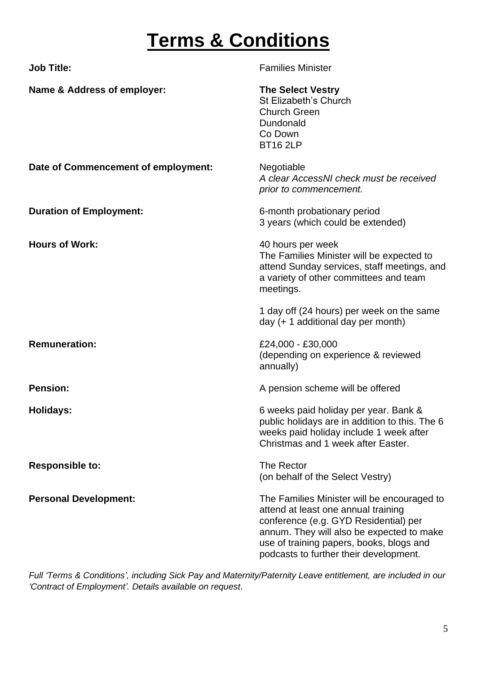## **Terms & Conditions**

| <b>Job Title:</b>                   | <b>Families Minister</b>                                                                                                                                                                                                                                       |
|-------------------------------------|----------------------------------------------------------------------------------------------------------------------------------------------------------------------------------------------------------------------------------------------------------------|
| Name & Address of employer:         | <b>The Select Vestry</b><br><b>St Elizabeth's Church</b><br><b>Church Green</b><br>Dundonald<br>Co Down<br><b>BT16 2LP</b>                                                                                                                                     |
| Date of Commencement of employment: | Negotiable<br>A clear AccessNI check must be received<br>prior to commencement.                                                                                                                                                                                |
| <b>Duration of Employment:</b>      | 6-month probationary period<br>3 years (which could be extended)                                                                                                                                                                                               |
| <b>Hours of Work:</b>               | 40 hours per week<br>The Families Minister will be expected to<br>attend Sunday services, staff meetings, and<br>a variety of other committees and team<br>meetings.                                                                                           |
|                                     | 1 day off (24 hours) per week on the same<br>day (+ 1 additional day per month)                                                                                                                                                                                |
| <b>Remuneration:</b>                | £24,000 - £30,000<br>(depending on experience & reviewed<br>annually)                                                                                                                                                                                          |
| <b>Pension:</b>                     | A pension scheme will be offered                                                                                                                                                                                                                               |
| Holidays:                           | 6 weeks paid holiday per year. Bank &<br>public holidays are in addition to this. The 6<br>weeks paid holiday include 1 week after<br>Christmas and 1 week after Easter.                                                                                       |
| <b>Responsible to:</b>              | The Rector<br>(on behalf of the Select Vestry)                                                                                                                                                                                                                 |
| <b>Personal Development:</b>        | The Families Minister will be encouraged to<br>attend at least one annual training<br>conference (e.g. GYD Residential) per<br>annum. They will also be expected to make<br>use of training papers, books, blogs and<br>podcasts to further their development. |

*Full 'Terms & Conditions', including Sick Pay and Maternity/Paternity Leave entitlement, are included in our 'Contract of Employment'. Details available on request*.